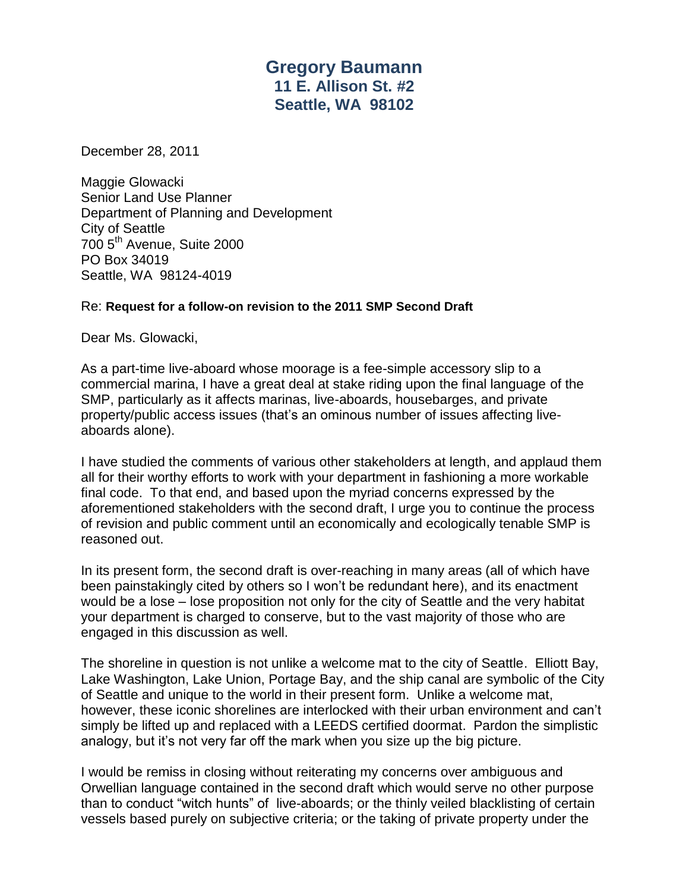## **Gregory Baumann 11 E. Allison St. #2 Seattle, WA 98102**

December 28, 2011

Maggie Glowacki Senior Land Use Planner Department of Planning and Development City of Seattle 700 5th Avenue, Suite 2000 PO Box 34019 Seattle, WA 98124-4019

## Re: **Request for a follow-on revision to the 2011 SMP Second Draft**

Dear Ms. Glowacki,

As a part-time live-aboard whose moorage is a fee-simple accessory slip to a commercial marina, I have a great deal at stake riding upon the final language of the SMP, particularly as it affects marinas, live-aboards, housebarges, and private property/public access issues (that's an ominous number of issues affecting liveaboards alone).

I have studied the comments of various other stakeholders at length, and applaud them all for their worthy efforts to work with your department in fashioning a more workable final code. To that end, and based upon the myriad concerns expressed by the aforementioned stakeholders with the second draft, I urge you to continue the process of revision and public comment until an economically and ecologically tenable SMP is reasoned out.

In its present form, the second draft is over-reaching in many areas (all of which have been painstakingly cited by others so I won't be redundant here), and its enactment would be a lose – lose proposition not only for the city of Seattle and the very habitat your department is charged to conserve, but to the vast majority of those who are engaged in this discussion as well.

The shoreline in question is not unlike a welcome mat to the city of Seattle. Elliott Bay, Lake Washington, Lake Union, Portage Bay, and the ship canal are symbolic of the City of Seattle and unique to the world in their present form. Unlike a welcome mat, however, these iconic shorelines are interlocked with their urban environment and can't simply be lifted up and replaced with a LEEDS certified doormat. Pardon the simplistic analogy, but it's not very far off the mark when you size up the big picture.

I would be remiss in closing without reiterating my concerns over ambiguous and Orwellian language contained in the second draft which would serve no other purpose than to conduct "witch hunts" of live-aboards; or the thinly veiled blacklisting of certain vessels based purely on subjective criteria; or the taking of private property under the